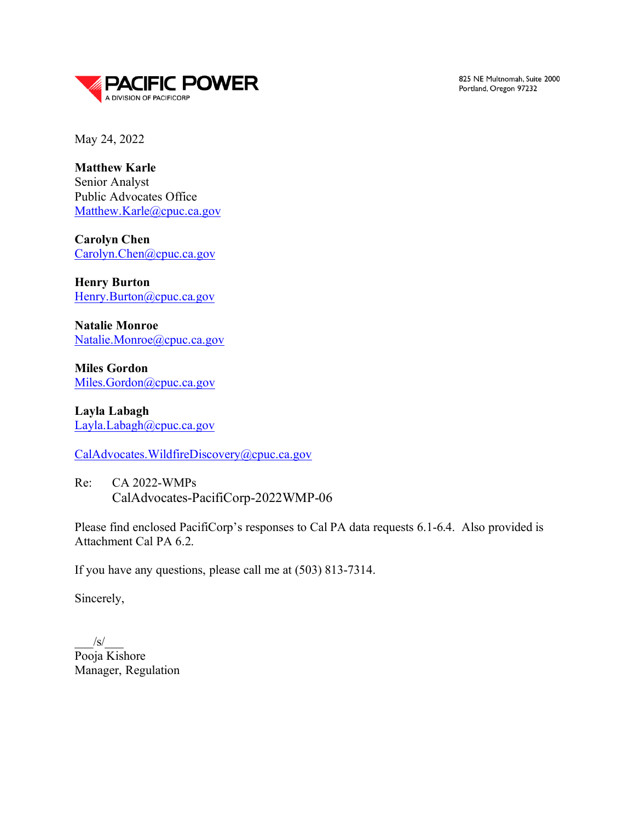

825 NE Multnomah, Suite 2000 Portland, Oregon 97232

May 24, 2022

**Matthew Karle** Senior Analyst Public Advocates Office [Matthew.Karle@cpuc.ca.gov](mailto:Matthew.Karle@cpuc.ca.gov)

**Carolyn Chen** [Carolyn.Chen@cpuc.ca.gov](mailto:Carolyn.Chen@cpuc.ca.gov)

**Henry Burton** [Henry.Burton@cpuc.ca.gov](mailto:Henry.Burton@cpuc.ca.gov)

**Natalie Monroe** [Natalie.Monroe@cpuc.ca.gov](mailto:Natalie.Monroe@cpuc.ca.gov)

**Miles Gordon**  [Miles.Gordon@cpuc.ca.gov](mailto:Miles.Gordon@cpuc.ca.gov)

**Layla Labagh** [Layla.Labagh@cpuc.ca.gov](mailto:Layla.Labagh@cpuc.ca.gov)

[CalAdvocates.WildfireDiscovery@cpuc.ca.gov](mailto:CalAdvocates.WildfireDiscovery@cpuc.ca.gov)

Re: CA 2022-WMPs CalAdvocates-PacifiCorp-2022WMP-06

Please find enclosed PacifiCorp's responses to Cal PA data requests 6.1-6.4. Also provided is Attachment Cal PA 6.2.

If you have any questions, please call me at (503) 813-7314.

Sincerely,

 $/S/$ Pooja Kishore Manager, Regulation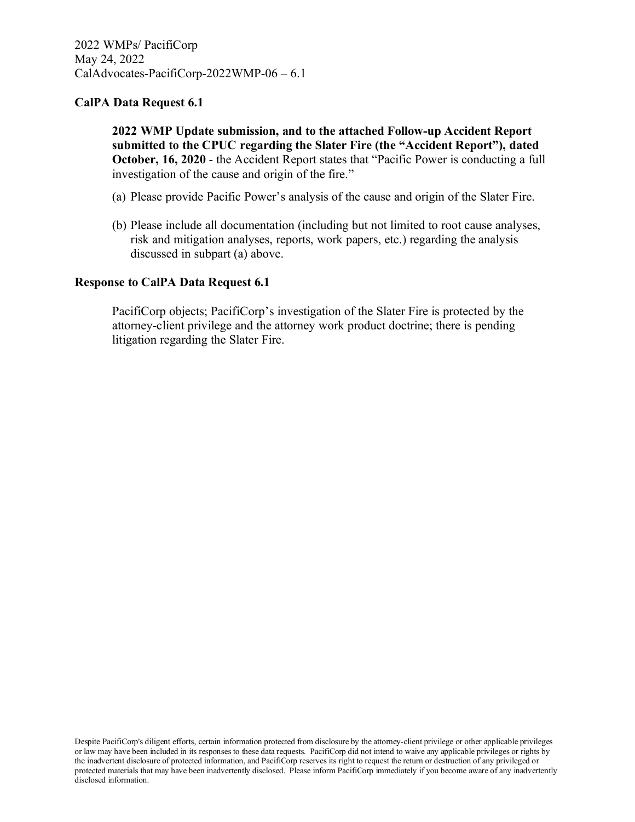**2022 WMP Update submission, and to the attached Follow-up Accident Report submitted to the CPUC regarding the Slater Fire (the "Accident Report"), dated October, 16, 2020** - the Accident Report states that "Pacific Power is conducting a full investigation of the cause and origin of the fire."

- (a) Please provide Pacific Power's analysis of the cause and origin of the Slater Fire.
- (b) Please include all documentation (including but not limited to root cause analyses, risk and mitigation analyses, reports, work papers, etc.) regarding the analysis discussed in subpart (a) above.

#### **Response to CalPA Data Request 6.1**

PacifiCorp objects; PacifiCorp's investigation of the Slater Fire is protected by the attorney-client privilege and the attorney work product doctrine; there is pending litigation regarding the Slater Fire.

Despite PacifiCorp's diligent efforts, certain information protected from disclosure by the attorney-client privilege or other applicable privileges or law may have been included in its responses to these data requests. PacifiCorp did not intend to waive any applicable privileges or rights by the inadvertent disclosure of protected information, and PacifiCorp reserves its right to request the return or destruction of any privileged or protected materials that may have been inadvertently disclosed. Please inform PacifiCorp immediately if you become aware of any inadvertently disclosed information.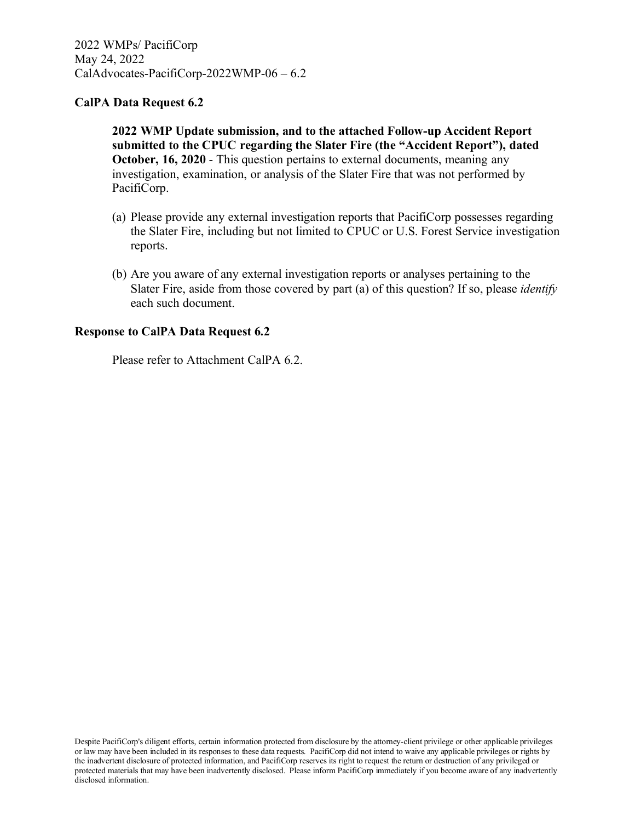**2022 WMP Update submission, and to the attached Follow-up Accident Report submitted to the CPUC regarding the Slater Fire (the "Accident Report"), dated October, 16, 2020** - This question pertains to external documents, meaning any investigation, examination, or analysis of the Slater Fire that was not performed by PacifiCorp.

- (a) Please provide any external investigation reports that PacifiCorp possesses regarding the Slater Fire, including but not limited to CPUC or U.S. Forest Service investigation reports.
- (b) Are you aware of any external investigation reports or analyses pertaining to the Slater Fire, aside from those covered by part (a) of this question? If so, please *identify* each such document.

#### **Response to CalPA Data Request 6.2**

Please refer to Attachment CalPA 6.2.

Despite PacifiCorp's diligent efforts, certain information protected from disclosure by the attorney-client privilege or other applicable privileges or law may have been included in its responses to these data requests. PacifiCorp did not intend to waive any applicable privileges or rights by the inadvertent disclosure of protected information, and PacifiCorp reserves its right to request the return or destruction of any privileged or protected materials that may have been inadvertently disclosed. Please inform PacifiCorp immediately if you become aware of any inadvertently disclosed information.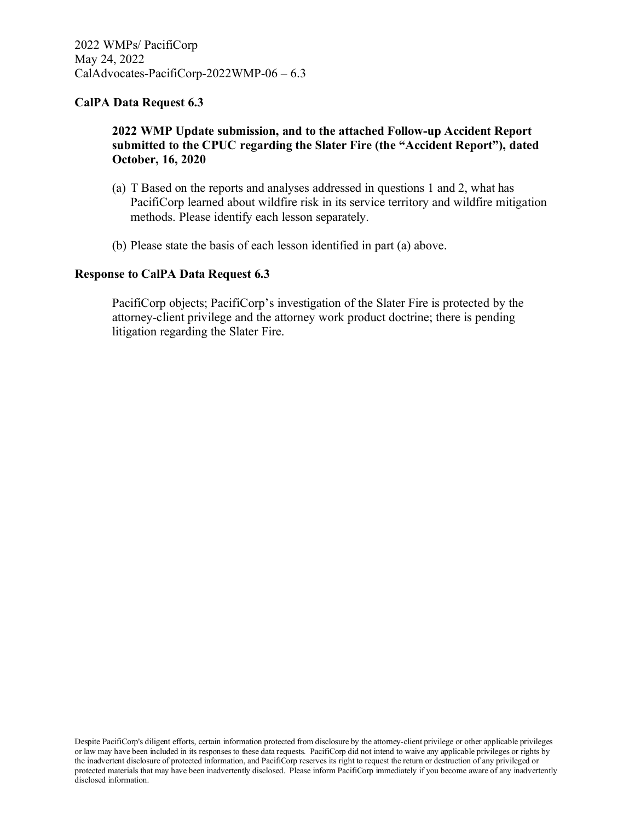### **2022 WMP Update submission, and to the attached Follow-up Accident Report submitted to the CPUC regarding the Slater Fire (the "Accident Report"), dated October, 16, 2020**

- (a) T Based on the reports and analyses addressed in questions 1 and 2, what has PacifiCorp learned about wildfire risk in its service territory and wildfire mitigation methods. Please identify each lesson separately.
- (b) Please state the basis of each lesson identified in part (a) above.

#### **Response to CalPA Data Request 6.3**

PacifiCorp objects; PacifiCorp's investigation of the Slater Fire is protected by the attorney-client privilege and the attorney work product doctrine; there is pending litigation regarding the Slater Fire.

Despite PacifiCorp's diligent efforts, certain information protected from disclosure by the attorney-client privilege or other applicable privileges or law may have been included in its responses to these data requests. PacifiCorp did not intend to waive any applicable privileges or rights by the inadvertent disclosure of protected information, and PacifiCorp reserves its right to request the return or destruction of any privileged or protected materials that may have been inadvertently disclosed. Please inform PacifiCorp immediately if you become aware of any inadvertently disclosed information.